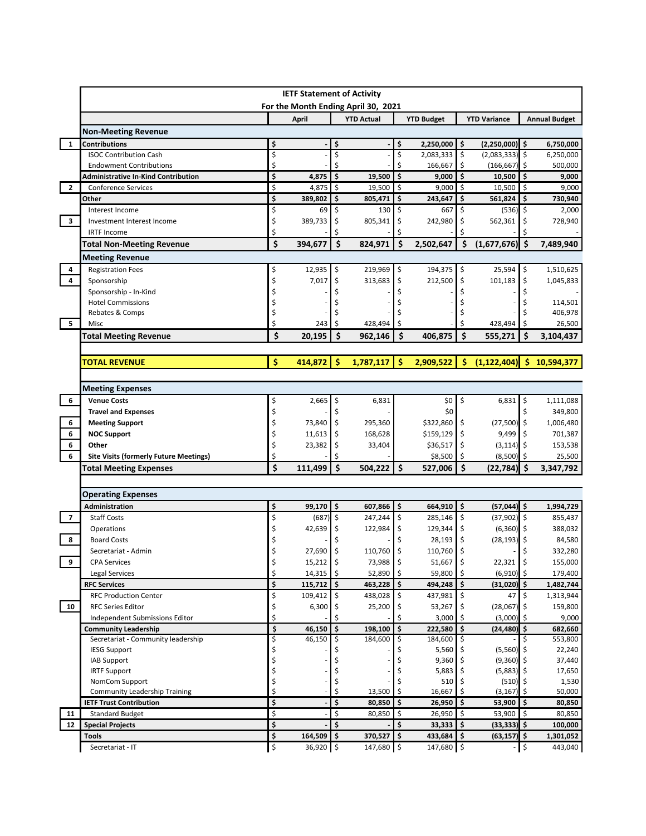|                                                      |                                                                                |          | <b>IETF Statement of Activity</b> |                                     |                    |                           |                     |                                 |                     |                                                                                                      |
|------------------------------------------------------|--------------------------------------------------------------------------------|----------|-----------------------------------|-------------------------------------|--------------------|---------------------------|---------------------|---------------------------------|---------------------|------------------------------------------------------------------------------------------------------|
|                                                      |                                                                                |          |                                   | For the Month Ending April 30, 2021 |                    |                           |                     |                                 |                     |                                                                                                      |
|                                                      |                                                                                |          | April                             | <b>YTD Actual</b>                   |                    | <b>YTD Budget</b>         |                     | <b>YTD Variance</b>             |                     | <b>Annual Budget</b>                                                                                 |
|                                                      | <b>Non-Meeting Revenue</b>                                                     |          |                                   |                                     |                    |                           |                     |                                 |                     |                                                                                                      |
| $\mathbf{1}$                                         | <b>Contributions</b>                                                           | \$       |                                   | \$                                  | \$                 | $2,250,000$ \$            |                     | $(2,250,000)$ \$                |                     | 6,750,000                                                                                            |
|                                                      | <b>ISOC Contribution Cash</b>                                                  | \$<br>\$ |                                   | \$<br>Ś                             | \$<br>Ś            | 2,083,333                 | \$                  | (2,083,333)                     | \$                  | 6,250,000                                                                                            |
|                                                      | <b>Endowment Contributions</b>                                                 |          |                                   |                                     | $\mathsf{\hat{S}}$ | 166,667                   | \$<br>\$            | (166, 667)                      | \$                  | 500,000                                                                                              |
|                                                      | <b>Administrative In-Kind Contribution</b>                                     | \$       | 4,875                             | \$<br>19,500                        |                    | 9,000                     |                     | 10,500                          | \$                  | 9,000                                                                                                |
| $\overline{2}$                                       | <b>Conference Services</b>                                                     | \$       | 4,875                             | \$<br>19,500                        | \$                 | 9,000                     | \$                  | 10,500                          | \$                  | 9,000                                                                                                |
|                                                      | Other                                                                          | \$       | 389,802                           | \$<br>805,471                       | \$                 | 243,647                   | \$                  | 561,824                         | \$                  | 730,940                                                                                              |
|                                                      | Interest Income                                                                | \$       | 69                                | \$<br>130                           | \$                 | 667                       | \$                  | $(536)$ \$                      |                     | 2,000                                                                                                |
| $\overline{\mathbf{3}}$                              | Investment Interest Income                                                     | \$       | 389,733                           | \$<br>805,341                       | \$                 | 242,980                   | \$                  | 562,361                         | \$                  | 728,940                                                                                              |
|                                                      | <b>IRTF Income</b>                                                             | \$       |                                   | Ś                                   |                    |                           |                     |                                 |                     |                                                                                                      |
|                                                      | <b>Total Non-Meeting Revenue</b>                                               | \$       | 394,677                           | \$<br>824,971                       | \$                 | 2,502,647                 | \$                  | $(1,677,676)$ \$                |                     | 7,489,940                                                                                            |
|                                                      | <b>Meeting Revenue</b>                                                         |          |                                   |                                     |                    |                           |                     |                                 |                     |                                                                                                      |
| 4                                                    | <b>Registration Fees</b>                                                       | \$       | 12,935                            | 219,969<br>\$                       | \$                 | 194,375                   | \$                  | 25,594                          | \$                  | 1,510,625                                                                                            |
| $\overline{4}$                                       | Sponsorship                                                                    | \$       | 7,017                             | \$<br>313,683                       | \$                 | 212,500                   | \$                  | 101,183                         | \$                  | 1,045,833                                                                                            |
|                                                      | Sponsorship - In-Kind                                                          | \$       |                                   |                                     |                    |                           | Ś                   |                                 | \$                  |                                                                                                      |
|                                                      | <b>Hotel Commissions</b>                                                       | \$       |                                   |                                     |                    |                           |                     |                                 |                     | 114,501                                                                                              |
|                                                      | Rebates & Comps                                                                | \$       |                                   |                                     |                    |                           |                     |                                 |                     | 406,978                                                                                              |
| 5                                                    | Misc                                                                           | \$       | 243                               | 428,494<br>Ŝ                        |                    |                           |                     | 428,494                         | Ŝ                   | 26,500                                                                                               |
|                                                      | <b>Total Meeting Revenue</b>                                                   | \$       | 20,195                            | Ś<br>962,146                        | Ś                  | 406,875                   | Ś                   | 555,271                         | Ś                   | 3,104,437                                                                                            |
|                                                      |                                                                                |          |                                   |                                     |                    |                           |                     |                                 |                     |                                                                                                      |
|                                                      | <b>TOTAL REVENUE</b>                                                           | \$       | $414,872$ \$                      | 1,787,117                           | -\$                | $2,909,522$ \$            |                     | $(1, 122, 404)$ \$              |                     | 10,594,377                                                                                           |
|                                                      | <b>Meeting Expenses</b>                                                        |          |                                   |                                     |                    |                           |                     |                                 |                     |                                                                                                      |
| 6                                                    | <b>Venue Costs</b>                                                             | \$       | 2,665                             | \$<br>6,831                         |                    | \$0 <sub>1</sub>          | $\ddot{\mathsf{s}}$ | 6,831                           | \$                  | 1,111,088                                                                                            |
|                                                      | <b>Travel and Expenses</b>                                                     | \$       |                                   |                                     |                    | \$0                       |                     |                                 | \$                  | 349,800                                                                                              |
|                                                      |                                                                                | \$       | 73,840                            | \$<br>295,360                       |                    | \$322,860                 | \$                  | $(27,500)$ \$                   |                     | 1,006,480                                                                                            |
|                                                      |                                                                                |          |                                   |                                     |                    |                           |                     |                                 |                     |                                                                                                      |
|                                                      | <b>Meeting Support</b>                                                         |          |                                   |                                     |                    |                           |                     |                                 |                     |                                                                                                      |
|                                                      | <b>NOC Support</b><br>Other                                                    | \$       | 11,613                            | \$<br>168,628                       |                    | \$159,129                 | \$                  | 9,499                           | \$                  |                                                                                                      |
|                                                      |                                                                                | \$<br>\$ | 23,382                            | \$<br>33,404                        |                    | \$36,517                  | \$<br>\$            | $(3, 114)$ \$                   | -\$                 |                                                                                                      |
|                                                      | <b>Site Visits (formerly Future Meetings)</b><br><b>Total Meeting Expenses</b> | Ś        | 111,499                           | \$<br>504,222                       | Ś.                 | \$8,500<br>527,006        | Ŝ.                  | (8,500)<br>(22, 784)            | -Ś                  | 701,387<br>153,538<br>25,500<br>3,347,792                                                            |
|                                                      |                                                                                |          |                                   |                                     |                    |                           |                     |                                 |                     |                                                                                                      |
|                                                      | <b>Operating Expenses</b>                                                      |          |                                   |                                     |                    |                           |                     |                                 |                     |                                                                                                      |
|                                                      | Administration                                                                 | \$       | 99,170                            | l \$<br>607,866                     | $\mathsf{\hat{S}}$ | $664,910$ \$              |                     | $(57,044)$ \$                   |                     |                                                                                                      |
|                                                      | <b>Staff Costs</b>                                                             | \$       | (687)                             | \$<br>247,244                       | \$                 | 285,146                   | \$                  | $(37,902)$ \$                   |                     |                                                                                                      |
|                                                      | Operations                                                                     | \$       | 42,639                            | 122,984<br>\$                       | \$                 | 129,344                   | \$                  | (6, 360)                        | \$                  |                                                                                                      |
|                                                      | <b>Board Costs</b>                                                             | \$       |                                   |                                     | \$                 | 28,193                    | \$                  | (28, 193)                       | \$                  |                                                                                                      |
|                                                      | Secretariat - Admin                                                            | \$       | 27,690                            | \$<br>110,760                       | \$                 | 110,760 \$                |                     |                                 | \$                  | 84,580<br>332,280                                                                                    |
|                                                      | <b>CPA Services</b>                                                            | \$       | $15,212$ \$                       | 73,988 \$                           |                    | $51,667$ \$               |                     | $22,321$ \$                     |                     |                                                                                                      |
|                                                      | <b>Legal Services</b>                                                          | \$       | 14,315                            | \$<br>52,890                        | \$                 | 59,800 \$                 |                     | $(6,910)$ \$                    |                     | 1,994,729<br>855,437<br>388,032<br>155,000<br>179,400                                                |
|                                                      | <b>RFC Services</b>                                                            | \$       | 115,712                           | \$<br>463,228                       | l \$               | $494,248$ \$              |                     | $(31,020)$ \$                   |                     | 1,482,744                                                                                            |
|                                                      | <b>RFC Production Center</b>                                                   | \$       | 109,412                           | \$<br>438,028                       | \$                 | 437,981 \$                |                     | 47                              | $\ddot{\mathsf{s}}$ |                                                                                                      |
|                                                      | <b>RFC Series Editor</b>                                                       | \$       | 6,300                             | 25,200<br>\$                        | \$                 | 53,267                    | \$                  | (28,067)                        | -\$                 |                                                                                                      |
|                                                      | Independent Submissions Editor                                                 | \$       |                                   | \$                                  |                    | 3,000                     | ۱\$                 | $(3,000)$ \$                    |                     | 1,313,944<br>159,800<br>9,000                                                                        |
|                                                      | <b>Community Leadership</b>                                                    | \$       | 46,150                            | \$<br>198,100                       | \$                 | 222,580 \$                |                     | $(24, 480)$ \$                  |                     | 682,660                                                                                              |
|                                                      | Secretariat - Community leadership                                             | \$       | 46,150                            | 184,600                             | \$                 | 184,600                   | \$                  |                                 | Ś.                  |                                                                                                      |
|                                                      | <b>IESG Support</b>                                                            | \$       |                                   |                                     |                    | 5,560                     | \$                  | $(5,560)$ \$                    |                     |                                                                                                      |
|                                                      | <b>IAB Support</b>                                                             | \$       |                                   |                                     |                    | 9,360                     | \$                  | $(9,360)$ \$                    |                     |                                                                                                      |
|                                                      | <b>IRTF Support</b>                                                            | \$       |                                   |                                     |                    | 5,883                     |                     | $(5,883)$ \$                    |                     |                                                                                                      |
|                                                      | NomCom Support                                                                 | \$       |                                   | \$                                  |                    | 510                       | \$                  | $(510)$ \$                      |                     |                                                                                                      |
|                                                      | <b>Community Leadership Training</b>                                           | \$       |                                   | \$<br>13,500                        | \$                 | 16,667                    | \$                  | (3, 167)                        | -\$                 |                                                                                                      |
|                                                      | <b>IETF Trust Contribution</b>                                                 | \$       |                                   | \$<br>80,850                        | \$                 | $26,950$ \$               |                     | $53,900$ \$                     |                     |                                                                                                      |
| 6<br>8                                               | <b>Standard Budget</b>                                                         | \$       |                                   | \$<br>80,850                        | \$                 | $26,950$ \$               |                     | $53,900$ \$                     |                     |                                                                                                      |
| 6<br>6<br>6<br>$\overline{7}$<br>9<br>10<br>11<br>12 | <b>Special Projects</b><br>Tools                                               | \$<br>\$ | 164,509                           | \$<br>\$<br>370,527                 | \$<br>l \$         | $33,333$ \$<br>433,684 \$ |                     | $(33,333)$ \$<br>$(63, 157)$ \$ |                     | 553,800<br>22,240<br>37,440<br>17,650<br>1,530<br>50,000<br>80,850<br>80,850<br>100,000<br>1,301,052 |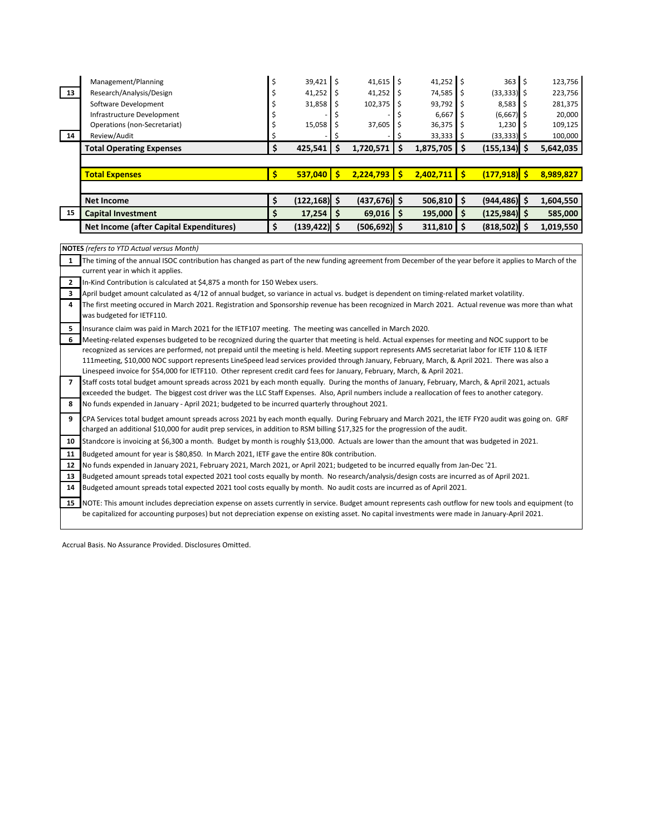|    | <b>Total Operating Expenses</b> | 425.541     | 1.720.571    | 1,875,705              | $(155, 134)$ \$       | 5,642,035 |
|----|---------------------------------|-------------|--------------|------------------------|-----------------------|-----------|
| 14 | Review/Audit                    |             |              | $33,333$ \$            | $(33,333)$ \$         | 100,000   |
|    | Operations (non-Secretariat)    | 15,058      | $37,605$ \$  | $36,375$ \$            | $1,230$ \$            | 109,125   |
|    | Infrastructure Development      |             |              | $6,667$ $\mid$ \$      | $(6,667)$ \$          | 20,000    |
|    | Software Development            | 31,858      | $102,375$ \$ | $93,792$ \$            | $8,583$ $\frac{1}{5}$ | 281,375   |
| 13 | Research/Analysis/Design        | 41,252      | $41,252$ \$  | $74,585$ $\frac{1}{5}$ | $(33,333)$ \$         | 223,756   |
|    | Management/Planning             | $39,421$ \$ | $41,615$ \$  | $41,252$ \$            | $363$ $\frac{1}{5}$   | 123,756   |

| <b>Total Expenses</b>                          | 537.040         | 2.224.793              | 2.402.711               | (177.918) <mark>.</mark> | 8.989.827 |
|------------------------------------------------|-----------------|------------------------|-------------------------|--------------------------|-----------|
|                                                |                 |                        |                         |                          |           |
| Net Income                                     | $(122, 168)$ \$ | $(437.676)$ \$         | $506,810$ \$            | $(944.486)$ \$           | 1.604.550 |
| <b>Capital Investment</b>                      | 17,254          | $69,016$ $\frac{1}{5}$ | 195,000                 | $(125.984)$ S            | 585,000   |
| <b>Net Income (after Capital Expenditures)</b> | $(139, 422)$ \$ | $(506, 692)$ \$        | $311,810$ $\frac{1}{2}$ | $(818,502)$ \$           | 1,019,550 |

**NOTES** (refers to YTD Actual versus Month)

1 The timing of the annual ISOC contribution has changed as part of the new funding agreement from December of the year before it applies to March of the current year in which it applies.

**2** In-Kind Contribution is calculated at \$4,875 a month for 150 Webex users.

**3** April budget amount calculated as 4/12 of annual budget, so variance in actual vs. budget is dependent on timing-related market volatility.

**4** The first meeting occured in March 2021. Registration and Sponsorship revenue has been recognized in March 2021. Actual revenue was more than what was budgeted for IETF110.

**5** Insurance claim was paid in March 2021 for the IETF107 meeting. The meeting was cancelled in March 2020.

**6** Meeting-related expenses budgeted to be recognized during the quarter that meeting is held. Actual expenses for meeting and NOC support to be recognized as services are performed, not prepaid until the meeting is held. Meeting support represents AMS secretariat labor for IETF 110 & IETF 111meeting, \$10,000 NOC support represents LineSpeed lead services provided through January, February, March, & April 2021. There was also a Linespeed invoice for \$54,000 for IETF110. Other represent credit card fees for January, February, March, & April 2021.

**7 8** Staff costs total budget amount spreads across 2021 by each month equally. During the months of January, February, March, & April 2021, actuals exceeded the budget. The biggest cost driver was the LLC Staff Expenses. Also, April numbers include a reallocation of fees to another category. No funds expended in January - April 2021; budgeted to be incurred quarterly throughout 2021.

**9** CPA Services total budget amount spreads across 2021 by each month equally. During February and March 2021, the IETF FY20 audit was going on. GRF charged an additional \$10,000 for audit prep services, in addition to RSM billing \$17,325 for the progression of the audit.

**10** Standcore is invoicing at \$6,300 a month. Budget by month is roughly \$13,000. Actuals are lower than the amount that was budgeted in 2021.

**11** Budgeted amount for year is \$80,850. In March 2021, IETF gave the entire 80k contribution.

**12** No funds expended in January 2021, February 2021, March 2021, or April 2021; budgeted to be incurred equally from Jan-Dec '21.

**13** Budgeted amount spreads total expected 2021 tool costs equally by month. No research/analysis/design costs are incurred as of April 2021.

**14** Budgeted amount spreads total expected 2021 tool costs equally by month. No audit costs are incurred as of April 2021.

15 NOTE: This amount includes depreciation expense on assets currently in service. Budget amount represents cash outflow for new tools and equipment (to be capitalized for accounting purposes) but not depreciation expense on existing asset. No capital investments were made in January-April 2021.

Accrual Basis. No Assurance Provided. Disclosures Omitted.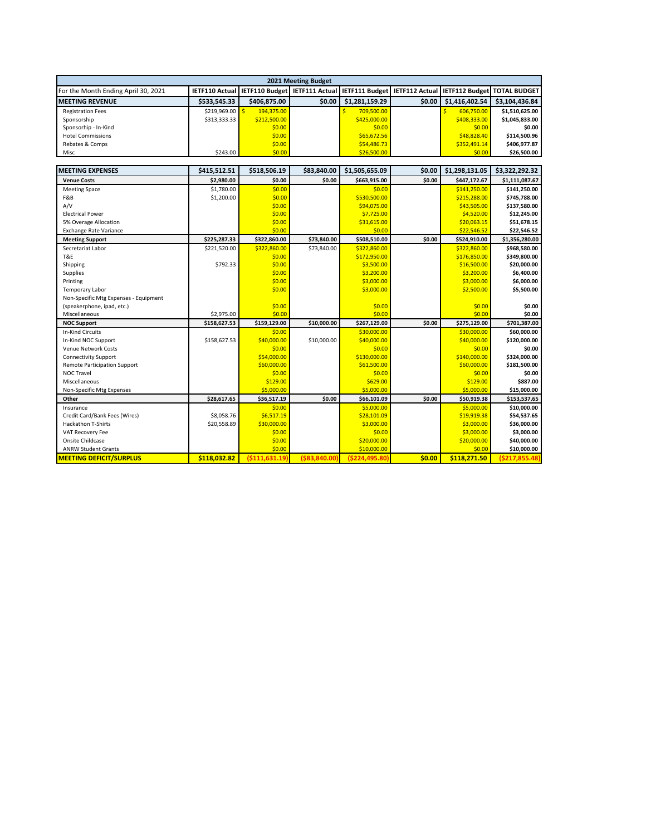| 2021 Meeting Budget                 |              |              |        |                                                                                                                    |        |                |                |  |  |
|-------------------------------------|--------------|--------------|--------|--------------------------------------------------------------------------------------------------------------------|--------|----------------|----------------|--|--|
| For the Month Ending April 30, 2021 |              |              |        | IETF110 Actual   IETF110 Budget   IETF111 Actual   IETF111 Budget   IETF112 Actual   IETF112 Budget   TOTAL BUDGET |        |                |                |  |  |
| <b>IMEETING REVENUE</b>             | \$533.545.33 | \$406.875.00 | \$0.00 | \$1.281.159.29                                                                                                     | \$0.00 | \$1,416,402.54 | \$3,104,436.84 |  |  |
| <b>Registration Fees</b>            | \$219,969.00 | 194.375.00   |        | 709,500.00                                                                                                         |        | 606.750.00     | \$1,510,625.00 |  |  |
| Sponsorship                         | \$313,333,33 | \$212,500.00 |        | \$425,000.00                                                                                                       |        | \$408,333,00   | \$1,045,833.00 |  |  |
| Sponsorhip - In-Kind                |              | \$0.00       |        | \$0.00                                                                                                             |        | \$0.00         | \$0.00         |  |  |
| <b>Hotel Commissions</b>            |              | \$0.00       |        | \$65,672.56                                                                                                        |        | \$48,828.40    | \$114.500.96   |  |  |
| Rebates & Comps                     |              | \$0.00       |        | \$54,486.73                                                                                                        |        | \$352,491.14   | \$406,977.87   |  |  |
| Misc                                | \$243.00     | \$0.00       |        | \$26,500.00                                                                                                        |        | \$0.00         | \$26,500.00    |  |  |

| <b>MEETING EXPENSES</b>               | \$415,512.51 | \$518,506.19  | \$83,840.00  | \$1,505,655.09 | \$0.00 | \$1,298,131.05 | \$3,322,292.32   |
|---------------------------------------|--------------|---------------|--------------|----------------|--------|----------------|------------------|
| <b>Venue Costs</b>                    | \$2,980.00   | \$0.00        | \$0.00       | \$663,915.00   | \$0.00 | \$447,172.67   | \$1,111,087.67   |
| <b>Meeting Space</b>                  | \$1,780.00   | \$0.00        |              | \$0.00         |        | \$141,250.00   | \$141,250.00     |
| F&B                                   | \$1,200.00   | \$0.00        |              | \$530,500.00   |        | \$215,288.00   | \$745,788.00     |
| A/V                                   |              | \$0.00        |              | \$94,075.00    |        | \$43,505.00    | \$137,580.00     |
| <b>Electrical Power</b>               |              | \$0.00        |              | \$7,725.00     |        | \$4,520.00     | \$12,245.00      |
| 5% Overage Allocation                 |              | \$0.00        |              | \$31,615.00    |        | \$20,063.15    | \$51,678.15      |
| <b>Exchange Rate Variance</b>         |              | \$0.00        |              | \$0.00         |        | \$22,546.52    | \$22,546.52      |
| <b>Meeting Support</b>                | \$225,287.33 | \$322,860.00  | \$73,840.00  | \$508,510.00   | \$0.00 | \$524,910.00   | \$1,356,280.00   |
| Secretariat Labor                     | \$221,520.00 | \$322,860.00  | \$73,840.00  | \$322,860.00   |        | \$322,860.00   | \$968,580.00     |
| T&E                                   |              | \$0.00        |              | \$172,950.00   |        | \$176,850.00   | \$349,800.00     |
| Shipping                              | \$792.33     | \$0.00        |              | \$3,500.00     |        | \$16,500.00    | \$20,000.00      |
| Supplies                              |              | \$0.00        |              | \$3,200.00     |        | \$3,200.00     | \$6,400.00       |
| Printing                              |              | \$0.00        |              | \$3,000.00     |        | \$3,000.00     | \$6,000.00       |
| <b>Temporary Labor</b>                |              | \$0.00        |              | \$3,000.00     |        | \$2,500.00     | \$5,500.00       |
| Non-Specific Mtg Expenses - Equipment |              |               |              |                |        |                |                  |
| (speakerphone, ipad, etc.)            |              | \$0.00        |              | \$0.00         |        | \$0.00         | \$0.00           |
| Miscellaneous                         | \$2,975.00   | \$0.00        |              | \$0.00         |        | \$0.00         | \$0.00           |
| <b>NOC Support</b>                    | \$158,627.53 | \$159,129.00  | \$10,000.00  | \$267,129.00   | \$0.00 | \$275,129.00   | \$701,387.00     |
| <b>In-Kind Circuits</b>               |              | \$0.00        |              | \$30,000.00    |        | \$30,000.00    | \$60,000.00      |
| In-Kind NOC Support                   | \$158,627.53 | \$40,000.00   | \$10,000.00  | \$40,000.00    |        | \$40,000.00    | \$120,000.00     |
| <b>Venue Network Costs</b>            |              | \$0.00        |              | \$0.00         |        | \$0.00         | \$0.00           |
| <b>Connectivity Support</b>           |              | \$54,000.00   |              | \$130,000.00   |        | \$140,000.00   | \$324,000.00     |
| <b>Remote Participation Support</b>   |              | \$60,000.00   |              | \$61,500.00    |        | \$60,000.00    | \$181,500.00     |
| <b>NOC Travel</b>                     |              | \$0.00        |              | \$0.00         |        | \$0.00         | \$0.00           |
| Miscellaneous                         |              | \$129.00      |              | \$629.00       |        | \$129.00       | \$887.00         |
| Non-Specific Mtg Expenses             |              | \$5,000.00    |              | \$5,000.00     |        | \$5,000.00     | \$15,000.00      |
| Other                                 | \$28,617.65  | \$36,517.19   | \$0.00       | \$66,101.09    | \$0.00 | \$50,919.38    | \$153,537.65     |
| Insurance                             |              | \$0.00        |              | \$5,000.00     |        | \$5,000.00     | \$10,000.00      |
| Credit Card/Bank Fees (Wires)         | \$8,058.76   | \$6,517.19    |              | \$28,101.09    |        | \$19,919.38    | \$54,537.65      |
| <b>Hackathon T-Shirts</b>             | \$20,558.89  | \$30,000.00   |              | \$3,000.00     |        | \$3,000.00     | \$36,000.00      |
| VAT Recovery Fee                      |              | \$0.00        |              | \$0.00         |        | \$3,000.00     | \$3,000.00       |
| Onsite Childcase                      |              | \$0.00        |              | \$20,000.00    |        | \$20,000.00    | \$40,000.00      |
| <b>ANRW Student Grants</b>            |              | \$0.00        |              | \$10,000.00    |        | \$0.00         | \$10,000.00      |
| <b>MEETING DEFICIT/SURPLUS</b>        | \$118,032.82 | (5111.631.19) | (583.840.00) | (5224.495.80)  | \$0.00 | \$118,271.50   | ( \$217, 855.48) |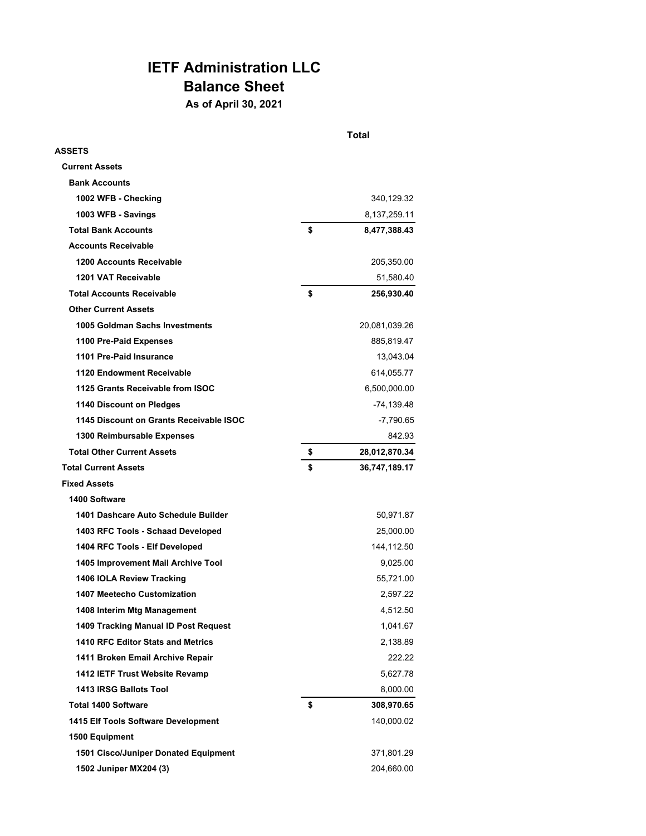## **IETF Administration LLC Balance Sheet**

**As of April 30, 2021**

|                                         | Total |               |  |
|-----------------------------------------|-------|---------------|--|
| <b>ASSETS</b>                           |       |               |  |
| <b>Current Assets</b>                   |       |               |  |
| <b>Bank Accounts</b>                    |       |               |  |
| 1002 WFB - Checking                     |       | 340,129.32    |  |
| 1003 WFB - Savings                      |       | 8,137,259.11  |  |
| <b>Total Bank Accounts</b>              | \$    | 8,477,388.43  |  |
| <b>Accounts Receivable</b>              |       |               |  |
| 1200 Accounts Receivable                |       | 205,350.00    |  |
| 1201 VAT Receivable                     |       | 51,580.40     |  |
| <b>Total Accounts Receivable</b>        | \$    | 256,930.40    |  |
| <b>Other Current Assets</b>             |       |               |  |
| 1005 Goldman Sachs Investments          |       | 20,081,039.26 |  |
| 1100 Pre-Paid Expenses                  |       | 885,819.47    |  |
| 1101 Pre-Paid Insurance                 |       | 13,043.04     |  |
| 1120 Endowment Receivable               |       | 614,055.77    |  |
| 1125 Grants Receivable from ISOC        |       | 6,500,000.00  |  |
| 1140 Discount on Pledges                |       | -74,139.48    |  |
| 1145 Discount on Grants Receivable ISOC |       | -7,790.65     |  |
| 1300 Reimbursable Expenses              |       | 842.93        |  |
| <b>Total Other Current Assets</b>       | \$    | 28,012,870.34 |  |
| <b>Total Current Assets</b>             | \$    | 36,747,189.17 |  |
| <b>Fixed Assets</b>                     |       |               |  |
| 1400 Software                           |       |               |  |
| 1401 Dashcare Auto Schedule Builder     |       | 50,971.87     |  |
| 1403 RFC Tools - Schaad Developed       |       | 25,000.00     |  |
| 1404 RFC Tools - Elf Developed          |       | 144,112.50    |  |
| 1405 Improvement Mail Archive Tool      |       | 9,025.00      |  |
| 1406 IOLA Review Tracking               |       | 55,721.00     |  |
| 1407 Meetecho Customization             |       | 2,597.22      |  |
| 1408 Interim Mtg Management             |       | 4,512.50      |  |
| 1409 Tracking Manual ID Post Request    |       | 1,041.67      |  |
| 1410 RFC Editor Stats and Metrics       |       | 2,138.89      |  |
| 1411 Broken Email Archive Repair        |       | 222.22        |  |
| 1412 IETF Trust Website Revamp          |       | 5,627.78      |  |
| 1413 IRSG Ballots Tool                  |       | 8,000.00      |  |
| <b>Total 1400 Software</b>              | \$    | 308,970.65    |  |
| 1415 Elf Tools Software Development     |       | 140,000.02    |  |
| 1500 Equipment                          |       |               |  |
| 1501 Cisco/Juniper Donated Equipment    |       | 371,801.29    |  |
| 1502 Juniper MX204 (3)                  |       | 204,660.00    |  |